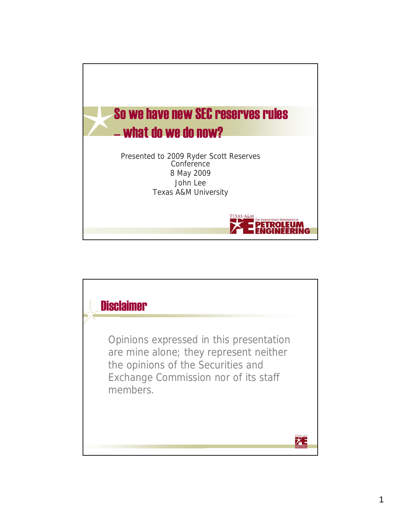

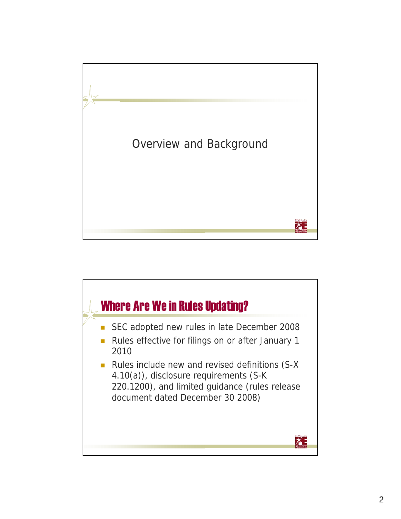

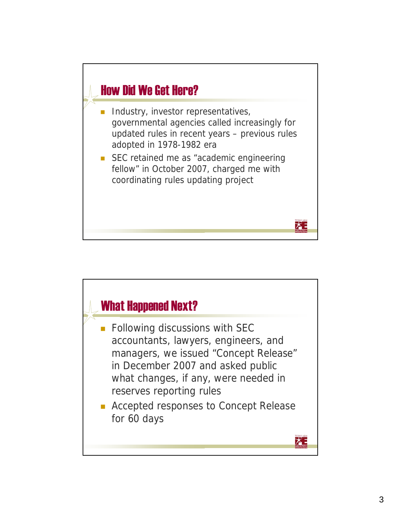

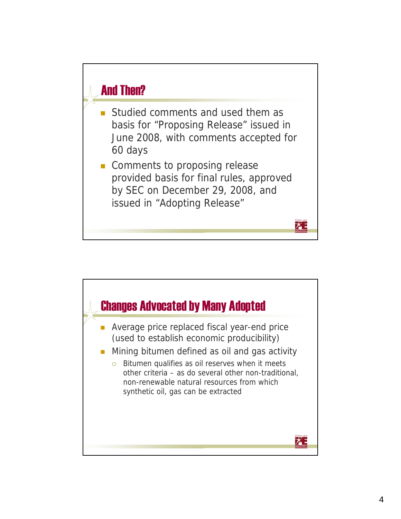

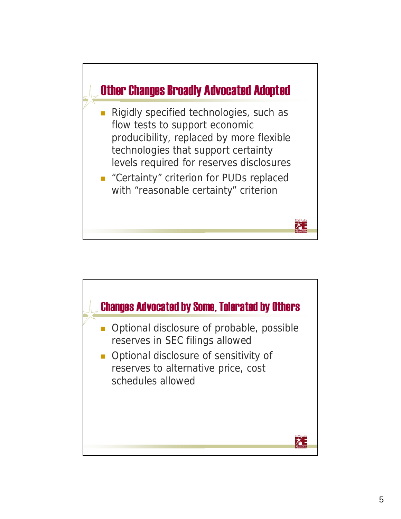

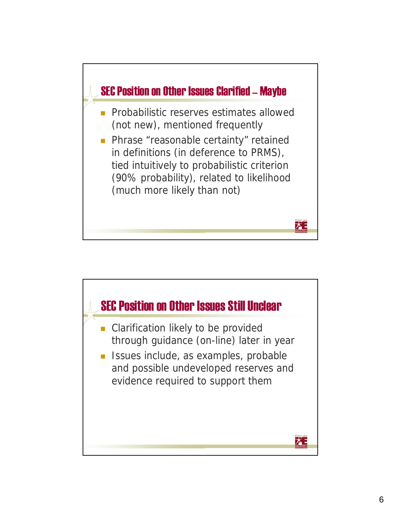

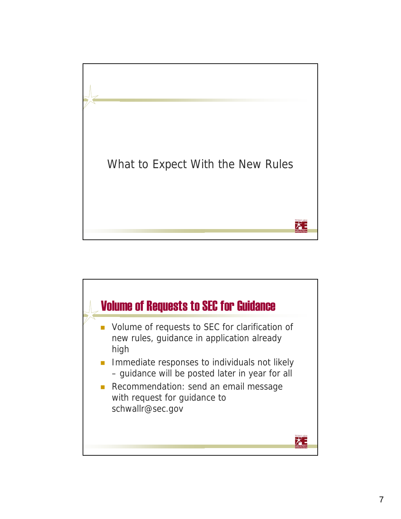

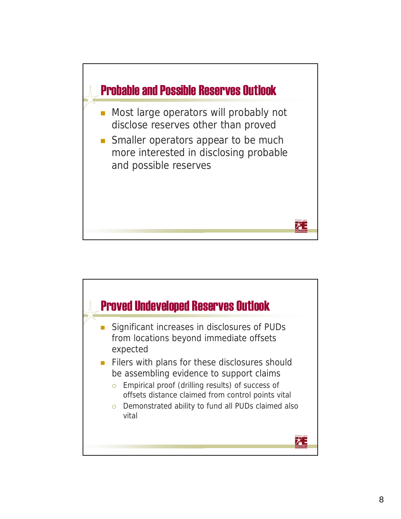

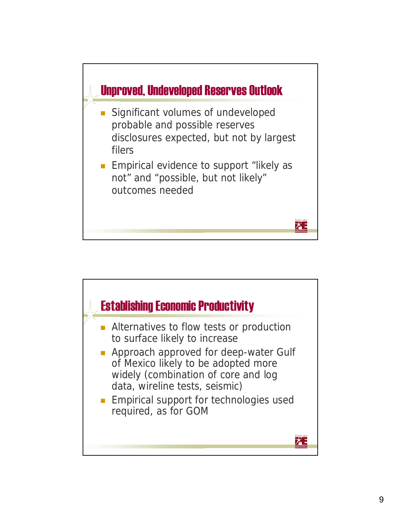

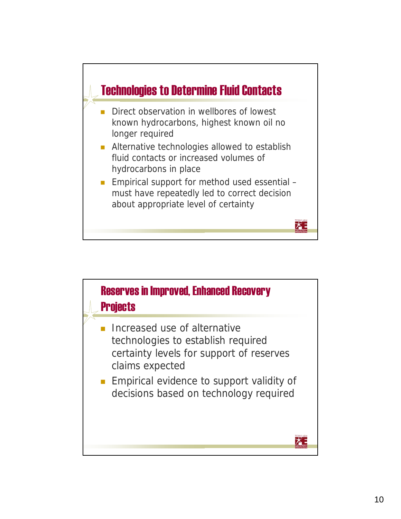

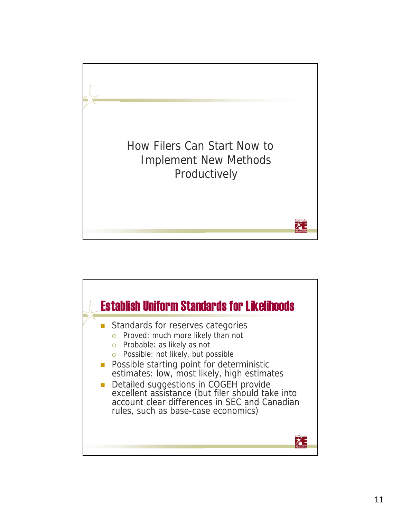

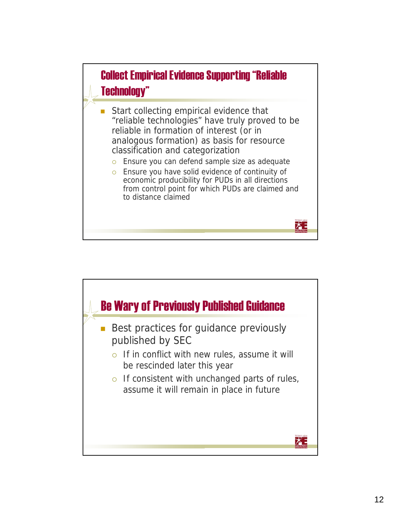

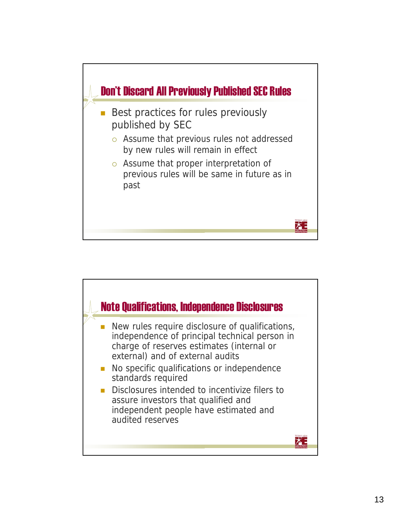

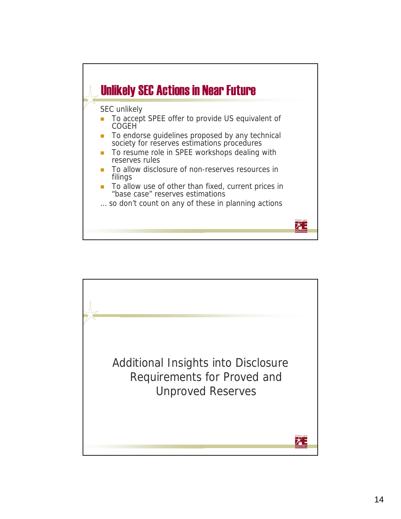

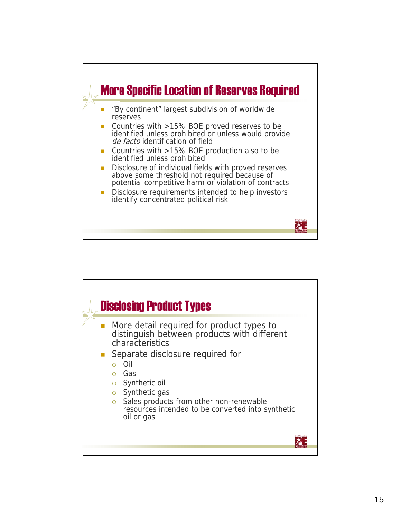

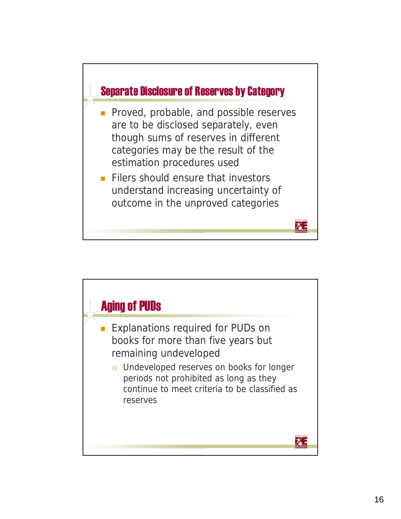

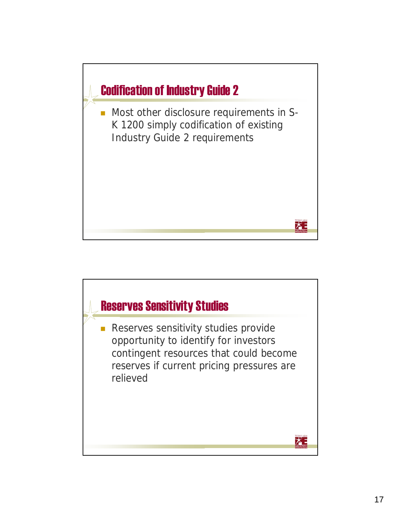

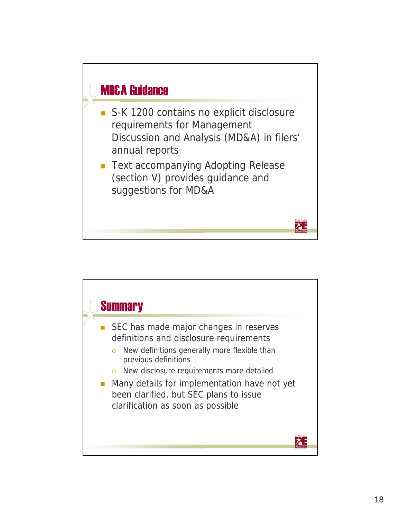